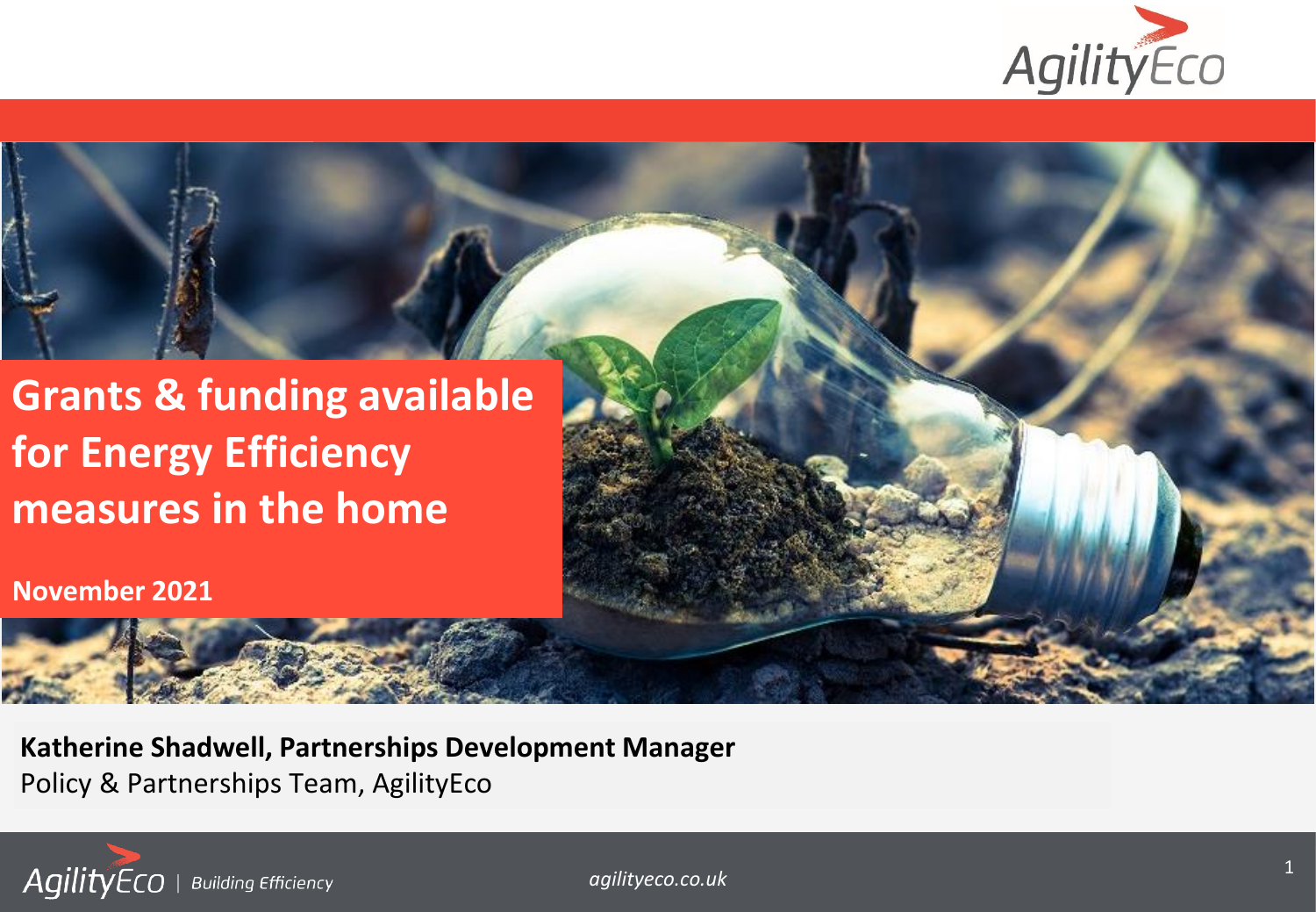

## **measures in the home Grants & funding available for Energy Efficiency**

**November 2021**

**Katherine Shadwell, Partnerships Development Manager** Policy & Partnerships Team, AgilityEco



*agilityeco.co.uk*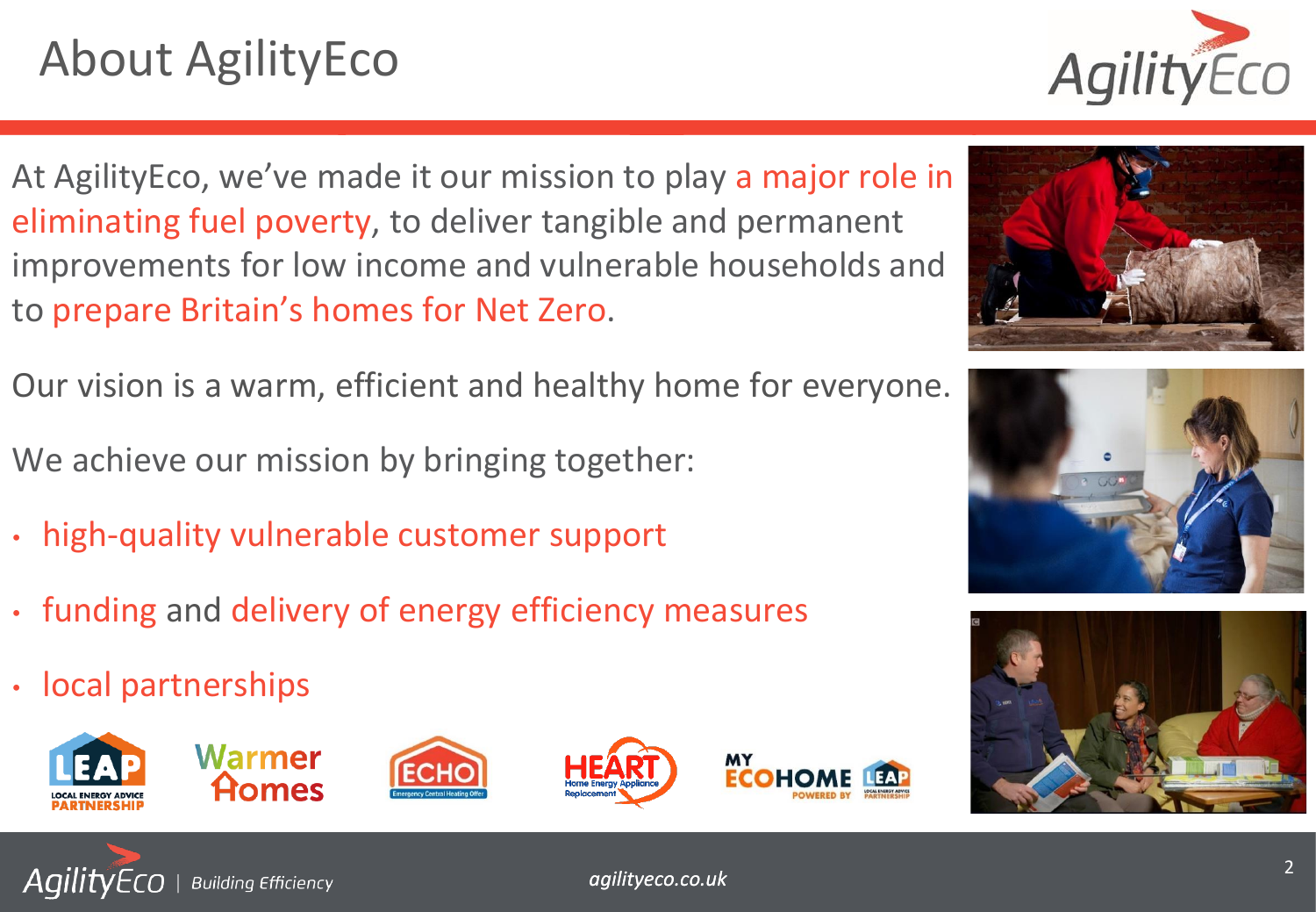# About AgilityEco



At AgilityEco, we've made it our mission to play a major role in eliminating fuel poverty, to deliver tangible and permanent improvements for low income and vulnerable households and to prepare Britain's homes for Net Zero.

Our vision is a warm, efficient and healthy home for everyone. We achieve our mission by bringing together:

- high-quality vulnerable customer support
- funding and delivery of energy efficiency measures
- local partnerships

**Building Efficiency** 

AgilityEco









*agilityeco.co.uk* <sup>2</sup>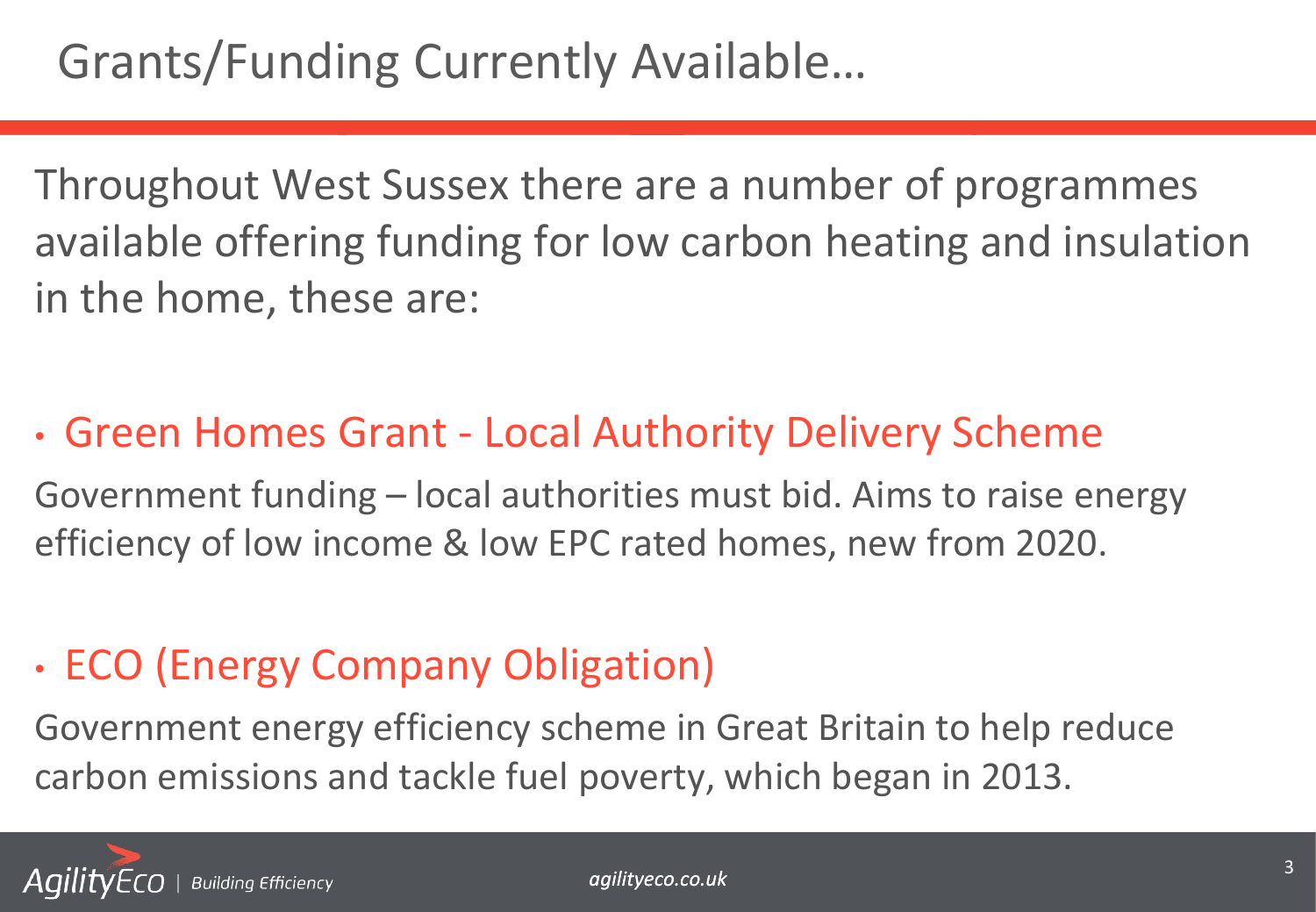Throughout West Sussex there are a number of programmes available offering funding for low carbon heating and insulation in the home, these are:

### • Green Homes Grant - Local Authority Delivery Scheme

Government funding – local authorities must bid. Aims to raise energy efficiency of low income & low EPC rated homes, new from 2020.

### • ECO (Energy Company Obligation)

Government energy efficiency scheme in Great Britain to help reduce carbon emissions and tackle fuel poverty, which began in 2013.

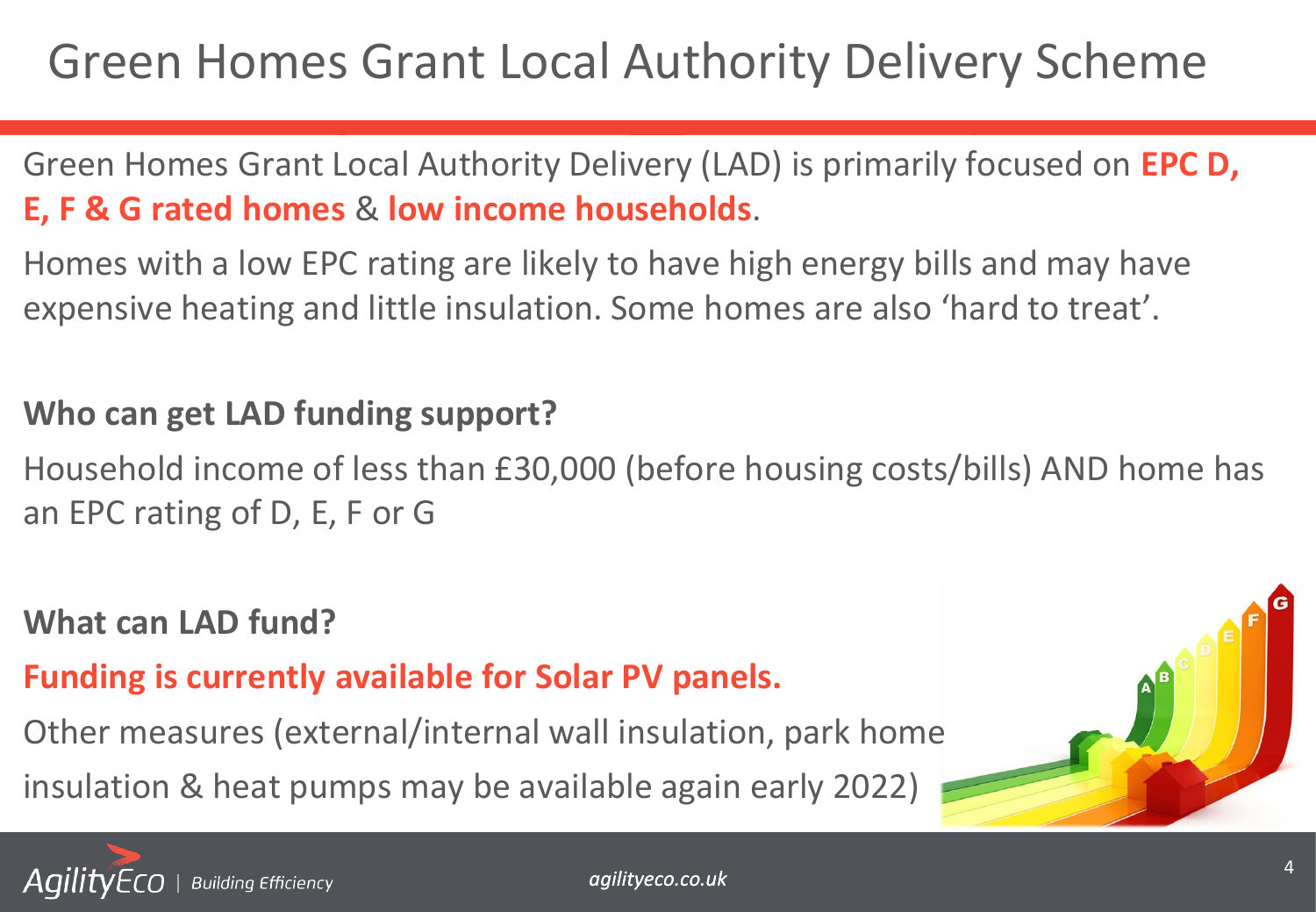## Green Homes Grant Local Authority Delivery Scheme

Green Homes Grant Local Authority Delivery (LAD) is primarily focused on **EPC D, E, F & G rated homes** & **low income households**.

Homes with a low EPC rating are likely to have high energy bills and may have expensive heating and little insulation. Some homes are also 'hard to treat'.

#### **Who can get LAD funding support?**

Household income of less than £30,000 (before housing costs/bills) AND home has an EPC rating of D, E, F or G

#### **What can LAD fund?**

**Funding is currently available for Solar PV panels.** 

Other measures (external/internal wall insulation, park home

insulation & heat pumps may be available again early 2022)

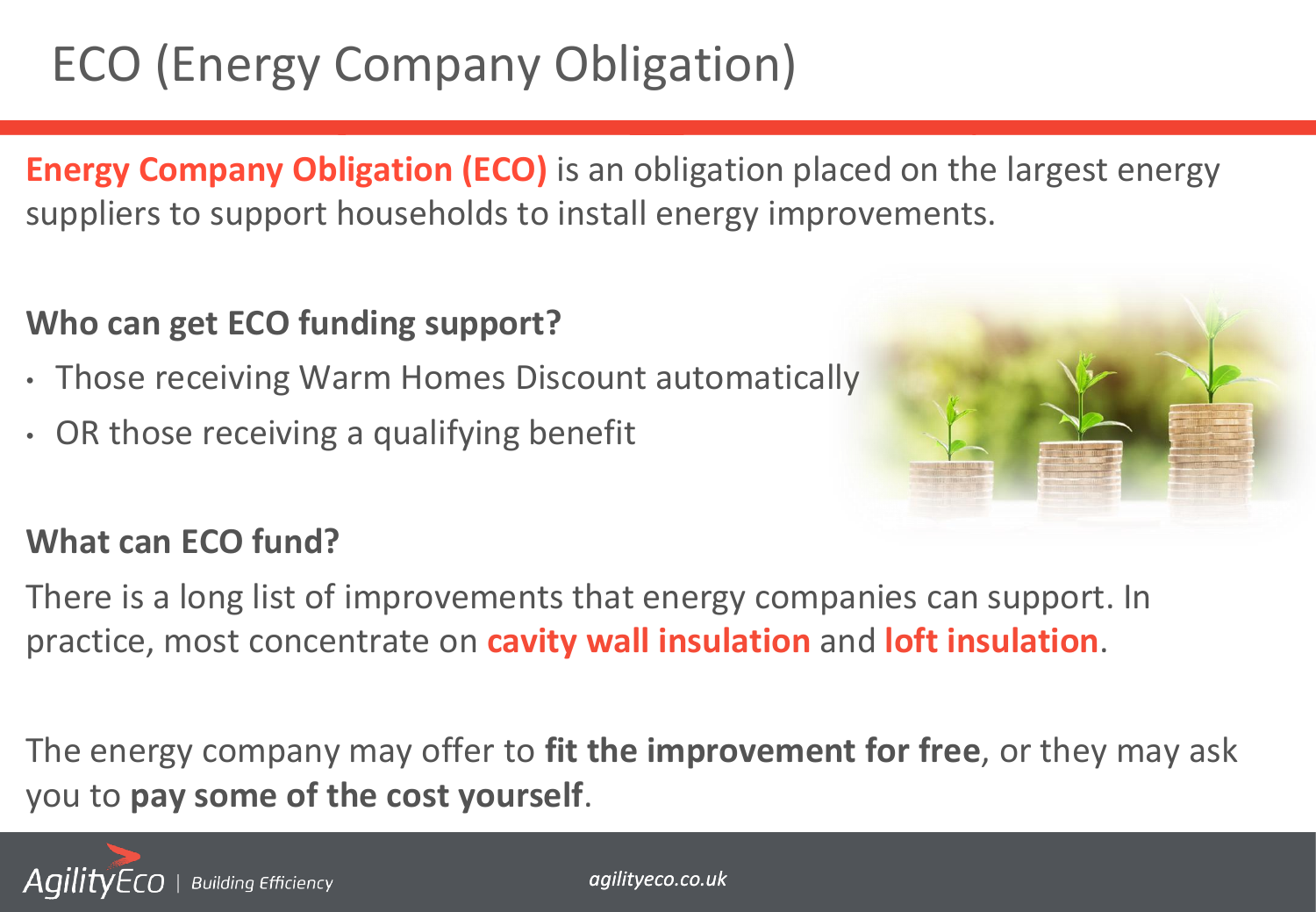# ECO (Energy Company Obligation)

**Energy Company Obligation (ECO)** is an obligation placed on the largest energy suppliers to support households to install energy improvements.

#### **Who can get ECO funding support?**

- Those receiving Warm Homes Discount automatically
- OR those receiving a qualifying benefit



#### **What can ECO fund?**

There is a long list of improvements that energy companies can support. In practice, most concentrate on **cavity wall insulation** and **loft insulation**.

The energy company may offer to **fit the improvement for free**, or they may ask you to **pay some of the cost yourself**.

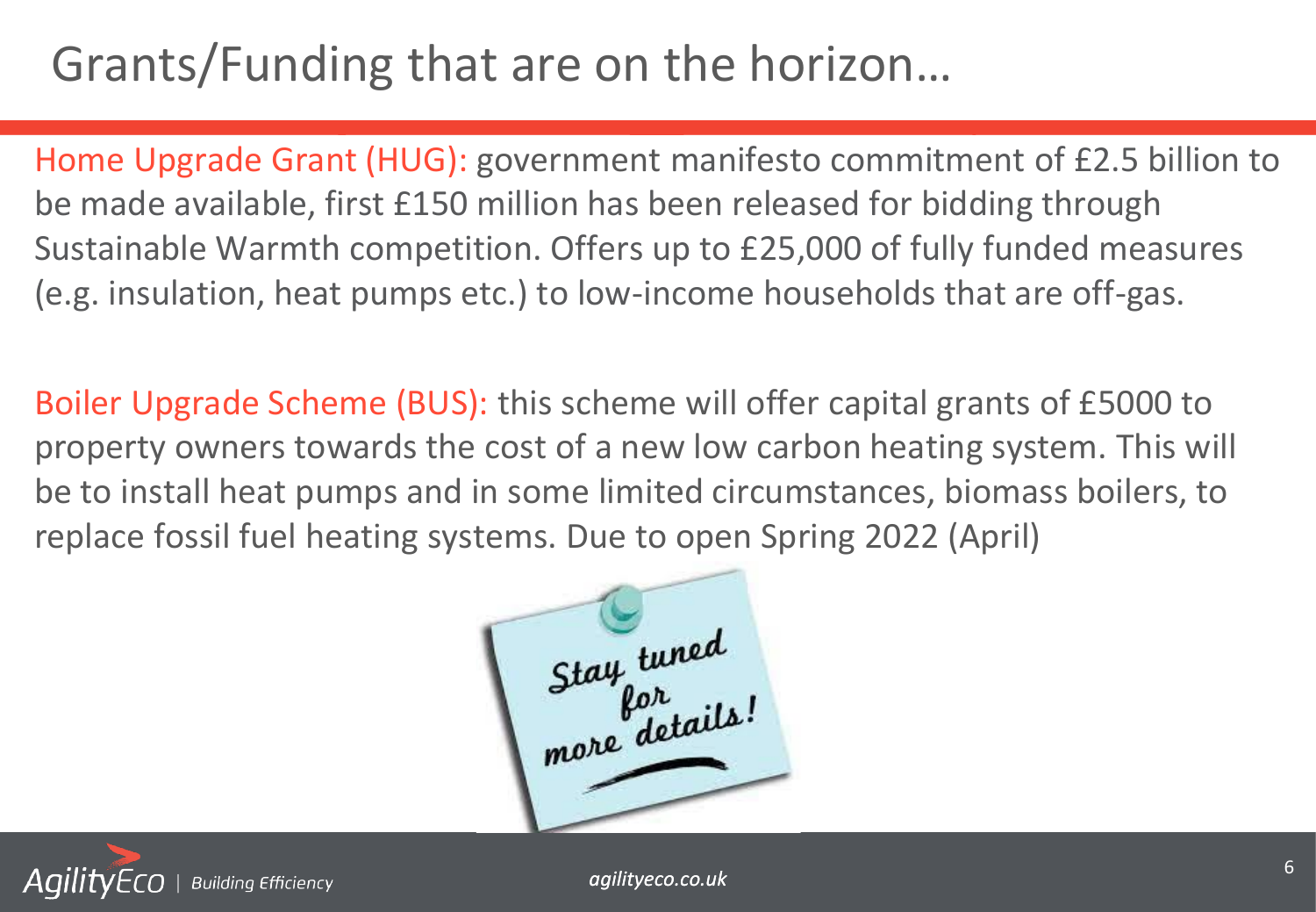# Grants/Funding that are on the horizon…

Home Upgrade Grant (HUG): government manifesto commitment of £2.5 billion to be made available, first £150 million has been released for bidding through Sustainable Warmth competition. Offers up to £25,000 of fully funded measures (e.g. insulation, heat pumps etc.) to low-income households that are off-gas.

Boiler Upgrade Scheme (BUS): this scheme will offer capital grants of £5000 to property owners towards the cost of a new low carbon heating system. This will be to install heat pumps and in some limited circumstances, biomass boilers, to replace fossil fuel heating systems. Due to open Spring 2022 (April)

Stay tuned more details



*agilityeco.co.uk* <sup>6</sup>